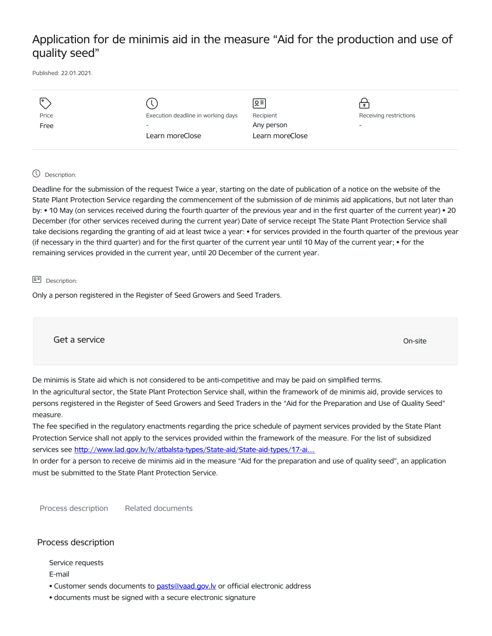## Application for de minimis aid in the measure "Aid for the production and use of quality seed"

Published: 22.01.2021.

| I۰    |                                    | $\sqrt{2}$      |                          |
|-------|------------------------------------|-----------------|--------------------------|
| Price | Execution deadline in working days | Recipient       | Receiving restrictions   |
| Free  | $\overline{\phantom{a}}$           | Any person      | $\overline{\phantom{a}}$ |
|       | Learn moreClose                    | Learn moreClose |                          |
|       |                                    |                 |                          |

## Description:

Deadline for the submission of the request Twice a year, starting on the date of publication of a notice on the website of the State Plant Protection Service regarding the commencement of the submission of de minimis aid applications, but not later than by: • 10 May (on services received during the fourth quarter of the previous year and in the first quarter of the current year) • 20 December (for other services received during the current year) Date of service receipt The State Plant Protection Service shall take decisions regarding the granting of aid at least twice a year: • for services provided in the fourth quarter of the previous year (if necessary in the third quarter) and for the first quarter of the current year until 10 May of the current year; • for the remaining services provided in the current year, until 20 December of the current year.

## $\sqrt{2}$  Description:

Only a person registered in the Register of Seed Growers and Seed Traders.

Get a service only a service of the contract of the contract of the contract of the contract of the contract of the contract of the contract of the contract of the contract of the contract of the contract of the contract o

De minimis is State aid which is not considered to be anti-competitive and may be paid on simplified terms.

In the agricultural sector, the State Plant Protection Service shall, within the framework of de minimis aid, provide services to persons registered in the Register of Seed Growers and Seed Traders in the "Aid for the Preparation and Use of Quality Seed" measure.

The fee specified in the regulatory enactments regarding the price schedule of payment services provided by the State Plant Protection Service shall not apply to the services provided within the framework of the measure. For the list of subsidized services see http://www.lad.gov.lv/lv/atbalsta-types/State-aid/State-aid-types/17-ai...

In order for a person to receive de minimis aid in the measure "Aid for the preparation and use of quality seed", an application must be submitted to the State Plant Protection Service.

Process description Related documents

## Process description

Service requests

E-mail

- Customer sends documents to pasts@vaad.gov.ly or official electronic address
- documents must be signed with a secure electronic signature